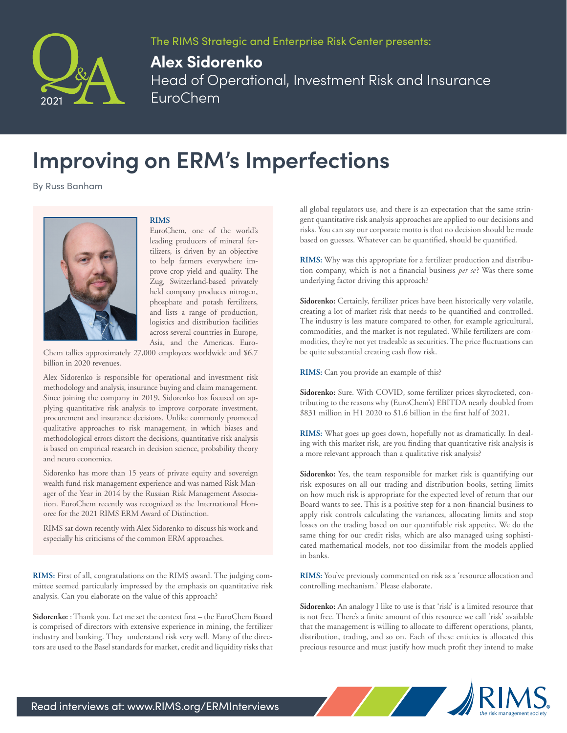

The RIMS Strategic and Enterprise Risk Center presents:

## **Alex Sidorenko**

Head of Operational, Investment Risk and Insurance EuroChem

## **Improving on ERM's Imperfections**

By Russ Banham



## **RIMS**

EuroChem, one of the world's leading producers of mineral fertilizers, is driven by an objective to help farmers everywhere improve crop yield and quality. The Zug, Switzerland-based privately held company produces nitrogen, phosphate and potash fertilizers, and lists a range of production, logistics and distribution facilities across several countries in Europe, Asia, and the Americas. Euro-

Chem tallies approximately 27,000 employees worldwide and \$6.7 billion in 2020 revenues.

Alex Sidorenko is responsible for operational and investment risk methodology and analysis, insurance buying and claim management. Since joining the company in 2019, Sidorenko has focused on applying quantitative risk analysis to improve corporate investment, procurement and insurance decisions. Unlike commonly promoted qualitative approaches to risk management, in which biases and methodological errors distort the decisions, quantitative risk analysis is based on empirical research in decision science, probability theory and neuro economics.

Sidorenko has more than 15 years of private equity and sovereign wealth fund risk management experience and was named Risk Manager of the Year in 2014 by the Russian Risk Management Association. EuroChem recently was recognized as the International Honoree for the 2021 RIMS ERM Award of Distinction.

RIMS sat down recently with Alex Sidorenko to discuss his work and especially his criticisms of the common ERM approaches.

**RIMS:** First of all, congratulations on the RIMS award. The judging committee seemed particularly impressed by the emphasis on quantitative risk analysis. Can you elaborate on the value of this approach?

**Sidorenko:** : Thank you. Let me set the context first – the EuroChem Board is comprised of directors with extensive experience in mining, the fertilizer industry and banking. They understand risk very well. Many of the directors are used to the Basel standards for market, credit and liquidity risks that all global regulators use, and there is an expectation that the same stringent quantitative risk analysis approaches are applied to our decisions and risks. You can say our corporate motto is that no decision should be made based on guesses. Whatever can be quantified, should be quantified.

**RIMS:** Why was this appropriate for a fertilizer production and distribution company, which is not a financial business *per se*? Was there some underlying factor driving this approach?

**Sidorenko:** Certainly, fertilizer prices have been historically very volatile, creating a lot of market risk that needs to be quantified and controlled. The industry is less mature compared to other, for example agricultural, commodities, and the market is not regulated. While fertilizers are commodities, they're not yet tradeable as securities. The price fluctuations can be quite substantial creating cash flow risk.

**RIMS:** Can you provide an example of this?

**Sidorenko:** Sure. With COVID, some fertilizer prices skyrocketed, contributing to the reasons why (EuroChem's) EBITDA nearly doubled from \$831 million in H1 2020 to \$1.6 billion in the first half of 2021.

**RIMS:** What goes up goes down, hopefully not as dramatically. In dealing with this market risk, are you finding that quantitative risk analysis is a more relevant approach than a qualitative risk analysis?

**Sidorenko:** Yes, the team responsible for market risk is quantifying our risk exposures on all our trading and distribution books, setting limits on how much risk is appropriate for the expected level of return that our Board wants to see. This is a positive step for a non-financial business to apply risk controls calculating the variances, allocating limits and stop losses on the trading based on our quantifiable risk appetite. We do the same thing for our credit risks, which are also managed using sophisticated mathematical models, not too dissimilar from the models applied in banks.

**RIMS:** You've previously commented on risk as a 'resource allocation and controlling mechanism.' Please elaborate.

**Sidorenko:** An analogy I like to use is that 'risk' is a limited resource that is not free. There's a finite amount of this resource we call 'risk' available that the management is willing to allocate to different operations, plants, distribution, trading, and so on. Each of these entities is allocated this precious resource and must justify how much profit they intend to make